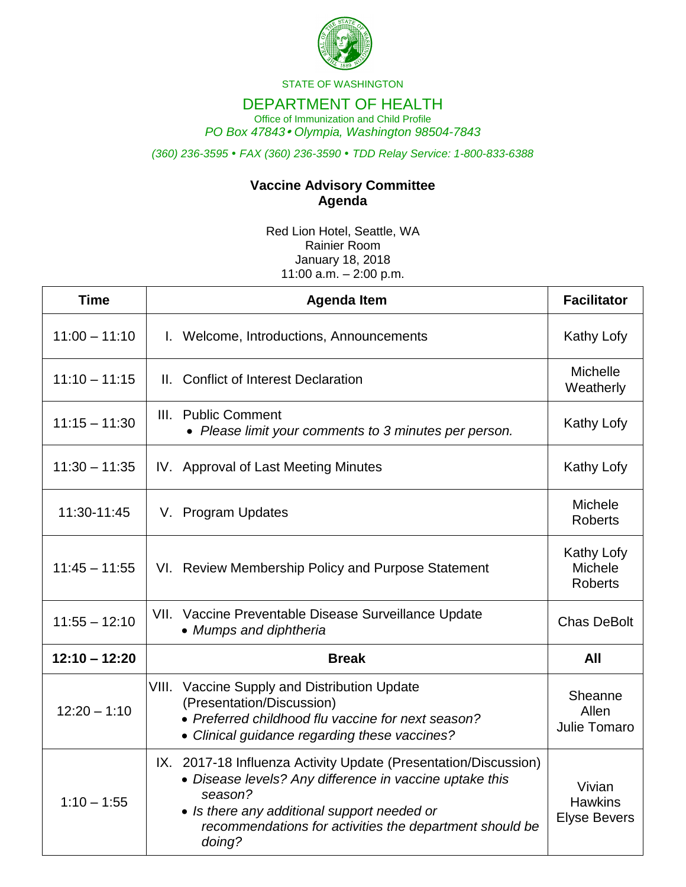

STATE OF WASHINGTON

## DEPARTMENT OF HEALTH

Office of Immunization and Child Profile *PO Box 47843 Olympia, Washington 98504-7843*

*(360) 236-3595 FAX (360) 236-3590 TDD Relay Service: 1-800-833-6388*

## **Vaccine Advisory Committee Agenda**

Red Lion Hotel, Seattle, WA Rainier Room January 18, 2018 11:00  $a.m. - 2:00$  p.m.

| <b>Time</b>     | <b>Agenda Item</b>                                                                                                                                                                                                                                        | <b>Facilitator</b>                              |
|-----------------|-----------------------------------------------------------------------------------------------------------------------------------------------------------------------------------------------------------------------------------------------------------|-------------------------------------------------|
| $11:00 - 11:10$ | I. Welcome, Introductions, Announcements                                                                                                                                                                                                                  | Kathy Lofy                                      |
| $11:10 - 11:15$ | II. Conflict of Interest Declaration                                                                                                                                                                                                                      | <b>Michelle</b><br>Weatherly                    |
| $11:15 - 11:30$ | III. Public Comment<br>• Please limit your comments to 3 minutes per person.                                                                                                                                                                              | Kathy Lofy                                      |
| $11:30 - 11:35$ | IV. Approval of Last Meeting Minutes                                                                                                                                                                                                                      | Kathy Lofy                                      |
| 11:30-11:45     | V. Program Updates                                                                                                                                                                                                                                        | Michele<br><b>Roberts</b>                       |
| $11:45 - 11:55$ | VI. Review Membership Policy and Purpose Statement                                                                                                                                                                                                        | Kathy Lofy<br><b>Michele</b><br><b>Roberts</b>  |
| $11:55 - 12:10$ | VII. Vaccine Preventable Disease Surveillance Update<br>• Mumps and diphtheria                                                                                                                                                                            | <b>Chas DeBolt</b>                              |
| $12:10 - 12:20$ | <b>Break</b>                                                                                                                                                                                                                                              | All                                             |
| $12:20 - 1:10$  | VIII. Vaccine Supply and Distribution Update<br>(Presentation/Discussion)<br>• Preferred childhood flu vaccine for next season?<br>• Clinical guidance regarding these vaccines?                                                                          | Sheanne<br>Allen<br>Julie Tomaro                |
| $1:10 - 1:55$   | IX. 2017-18 Influenza Activity Update (Presentation/Discussion)<br>• Disease levels? Any difference in vaccine uptake this<br>season?<br>• Is there any additional support needed or<br>recommendations for activities the department should be<br>doing? | Vivian<br><b>Hawkins</b><br><b>Elyse Bevers</b> |